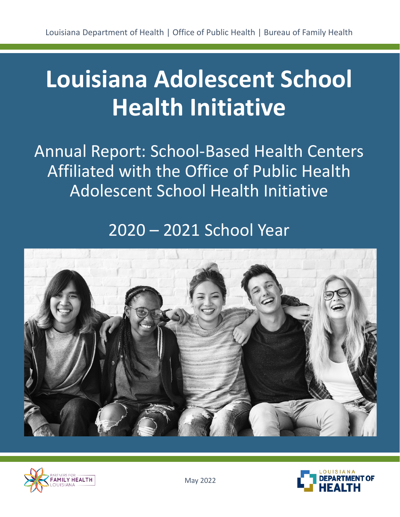# **Louisiana Adolescent School Health Initiative**

Annual Report: School-Based Health Centers Affiliated with the Office of Public Health Adolescent School Health Initiative

### 2020 – 2021 School Year





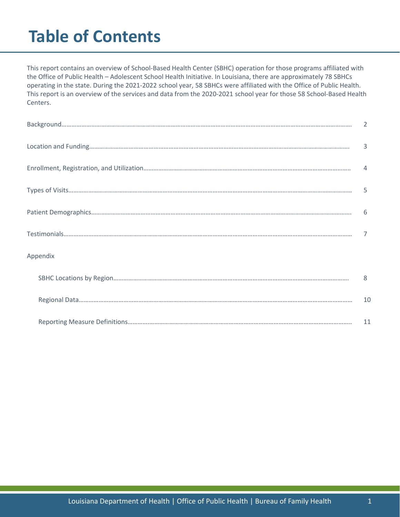### **Table of Contents**

This report contains an overview of School-Based Health Center (SBHC) operation for those programs affiliated with the Office of Public Health – Adolescent School Health Initiative. In Louisiana, there are approximately 78 SBHCs operating in the state. During the 2021-2022 school year, 58 SBHCs were affiliated with the Office of Public Health. This report is an overview of the services and data from the 2020-2021 school year for those 58 School-Based Health Centers.

|          | 3                        |
|----------|--------------------------|
|          | $\overline{4}$           |
|          | $\overline{\phantom{0}}$ |
|          | -6                       |
|          |                          |
| Appendix |                          |
|          | 8                        |
|          | 10                       |
|          | 11                       |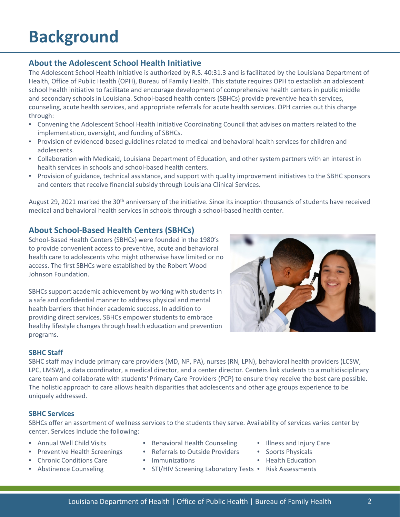### **Background**

### **About the Adolescent School Health Initiative**

The Adolescent School Health Initiative is authorized by R.S. 40:31.3 and is facilitated by the Louisiana Department of Health, Office of Public Health (OPH), Bureau of Family Health. This statute requires OPH to establish an adolescent school health initiative to facilitate and encourage development of comprehensive health centers in public middle and secondary schools in Louisiana. School-based health centers (SBHCs) provide preventive health services, counseling, acute health services, and appropriate referrals for acute health services. OPH carries out this charge through:

- Convening the Adolescent School Health Initiative Coordinating Council that advises on matters related to the implementation, oversight, and funding of SBHCs.
- Provision of evidenced-based guidelines related to medical and behavioral health services for children and adolescents.
- Collaboration with Medicaid, Louisiana Department of Education, and other system partners with an interest in health services in schools and school-based health centers.
- Provision of guidance, technical assistance, and support with quality improvement initiatives to the SBHC sponsors and centers that receive financial subsidy through Louisiana Clinical Services.

August 29, 2021 marked the 30<sup>th</sup> anniversary of the initiative. Since its inception thousands of students have received medical and behavioral health services in schools through a school-based health center.

#### **About School-Based Health Centers (SBHCs)**

School-Based Health Centers (SBHCs) were founded in the 1980's to provide convenient access to preventive, acute and behavioral health care to adolescents who might otherwise have limited or no access. The first SBHCs were established by the Robert Wood Johnson Foundation.

SBHCs support academic achievement by working with students in a safe and confidential manner to address physical and mental health barriers that hinder academic success. In addition to providing direct services, SBHCs empower students to embrace healthy lifestyle changes through health education and prevention programs.



#### **SBHC Staff**

SBHC staff may include primary care providers (MD, NP, PA), nurses (RN, LPN), behavioral health providers (LCSW, LPC, LMSW), a data coordinator, a medical director, and a center director. Centers link students to a multidisciplinary care team and collaborate with students' Primary Care Providers (PCP) to ensure they receive the best care possible. The holistic approach to care allows health disparities that adolescents and other age groups experience to be uniquely addressed.

#### **SBHC Services**

SBHCs offer an assortment of wellness services to the students they serve. Availability of services varies center by center. Services include the following:

- Annual Well Child Visits
- Preventive Health Screenings
- Chronic Conditions Care
- Abstinence Counseling
- Behavioral Health Counseling
- Referrals to Outside Providers
- Immunizations
- STI/HIV Screening Laboratory Tests Risk Assessments
- Illness and Injury Care
- Sports Physicals
- Health Education
-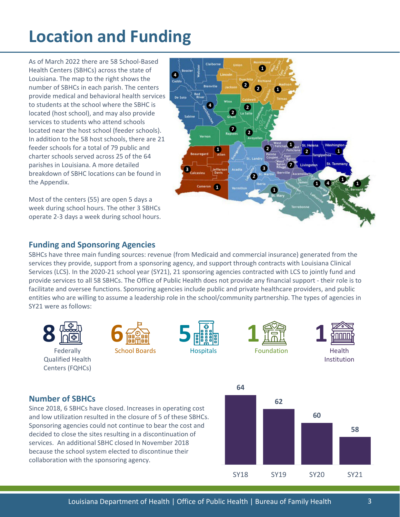### **Location and Funding**

As of March 2022 there are 58 School-Based Health Centers (SBHCs) across the state of Louisiana. The map to the right shows the number of SBHCs in each parish. The centers provide medical and behavioral health services to students at the school where the SBHC is located (host school), and may also provide services to students who attend schools located near the host school (feeder schools). In addition to the 58 host schools, there are 21 feeder schools for a total of 79 public and charter schools served across 25 of the 64 parishes in Louisiana. A more detailed breakdown of SBHC locations can be found in the Appendix.

Most of the centers (55) are open 5 days a week during school hours. The other 3 SBHCs operate 2-3 days a week during school hours.



#### **Funding and Sponsoring Agencies**

SBHCs have three main funding sources: revenue (from Medicaid and commercial insurance) generated from the services they provide, support from a sponsoring agency, and support through contracts with Louisiana Clinical Services (LCS). In the 2020-21 school year (SY21), 21 sponsoring agencies contracted with LCS to jointly fund and provide services to all 58 SBHCs. The Office of Public Health does not provide any financial support - their role is to facilitate and oversee functions. Sponsoring agencies include public and private healthcare providers, and public entities who are willing to assume a leadership role in the school/community partnership. The types of agencies in SY21 were as follows:



#### **Number of SBHCs**

Since 2018, 6 SBHCs have closed. Increases in operating cost and low utilization resulted in the closure of 5 of these SBHCs. Sponsoring agencies could not continue to bear the cost and decided to close the sites resulting in a discontinuation of services. An additional SBHC closed In November 2018 because the school system elected to discontinue their collaboration with the sponsoring agency.

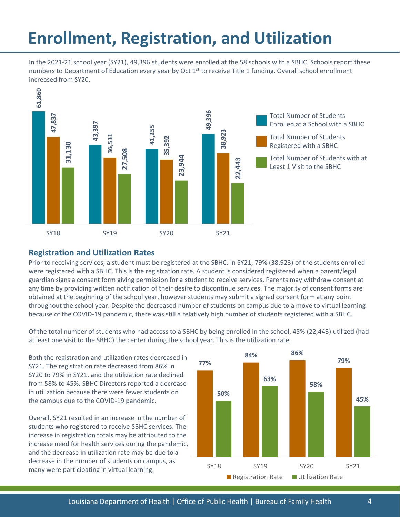### **Enrollment, Registration, and Utilization**

In the 2021-21 school year (SY21), 49,396 students were enrolled at the 58 schools with a SBHC. Schools report these numbers to Department of Education every year by Oct  $1<sup>st</sup>$  to receive Title 1 funding. Overall school enrollment increased from SY20.



#### **Registration and Utilization Rates**

Prior to receiving services, a student must be registered at the SBHC. In SY21, 79% (38,923) of the students enrolled were registered with a SBHC. This is the registration rate. A student is considered registered when a parent/legal guardian signs a consent form giving permission for a student to receive services. Parents may withdraw consent at any time by providing written notification of their desire to discontinue services. The majority of consent forms are obtained at the beginning of the school year, however students may submit a signed consent form at any point throughout the school year. Despite the decreased number of students on campus due to a move to virtual learning because of the COVID-19 pandemic, there was still a relatively high number of students registered with a SBHC.

Of the total number of students who had access to a SBHC by being enrolled in the school, 45% (22,443) utilized (had at least one visit to the SBHC) the center during the school year. This is the utilization rate.

Both the registration and utilization rates decreased in SY21. The registration rate decreased from 86% in SY20 to 79% in SY21, and the utilization rate declined from 58% to 45%. SBHC Directors reported a decrease in utilization because there were fewer students on the campus due to the COVID-19 pandemic.

Overall, SY21 resulted in an increase in the number of students who registered to receive SBHC services. The increase in registration totals may be attributed to the increase need for health services during the pandemic, and the decrease in utilization rate may be due to a decrease in the number of students on campus, as many were participating in virtual learning.

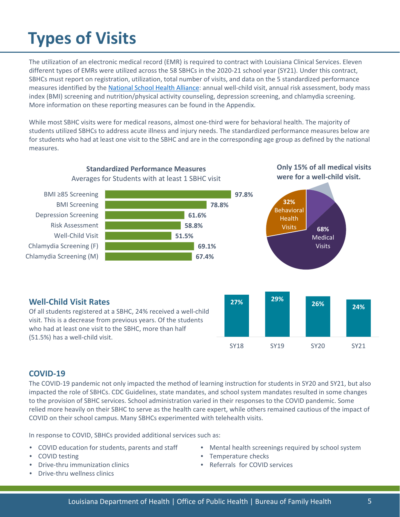## **Types of Visits**

The utilization of an electronic medical record (EMR) is required to contract with Louisiana Clinical Services. Eleven different types of EMRs were utilized across the 58 SBHCs in the 2020-21 school year (SY21). Under this contract, SBHCs must report on registration, utilization, total number of visits, and data on the 5 standardized performance measures identified by the [National School Health Alliance:](http://www.sbh4all.org/wp-content/uploads/2017/01/Quality-Counts-Standardized-Performance-Measure-Definitions.pdf) annual well-child visit, annual risk assessment, body mass index (BMI) screening and nutrition/physical activity counseling, depression screening, and chlamydia screening. More information on these reporting measures can be found in the Appendix.

While most SBHC visits were for medical reasons, almost one-third were for behavioral health. The majority of students utilized SBHCs to address acute illness and injury needs. The standardized performance measures below are for students who had at least one visit to the SBHC and are in the corresponding age group as defined by the national measures.



visit. This is a decrease from previous years. Of the students who had at least one visit to the SBHC, more than half (51.5%) has a well-child visit.

#### **COVID-19**

The COVID-19 pandemic not only impacted the method of learning instruction for students in SY20 and SY21, but also impacted the role of SBHCs. CDC Guidelines, state mandates, and school system mandates resulted in some changes to the provision of SBHC services. School administration varied in their responses to the COVID pandemic. Some relied more heavily on their SBHC to serve as the health care expert, while others remained cautious of the impact of COVID on their school campus. Many SBHCs experimented with telehealth visits.

In response to COVID, SBHCs provided additional services such as:

- COVID education for students, parents and staff
- COVID testing
- Drive-thru immunization clinics
- Drive-thru wellness clinics

• Mental health screenings required by school system

SY18 SY19 SY20 SY21

- Temperature checks
- Referrals for COVID services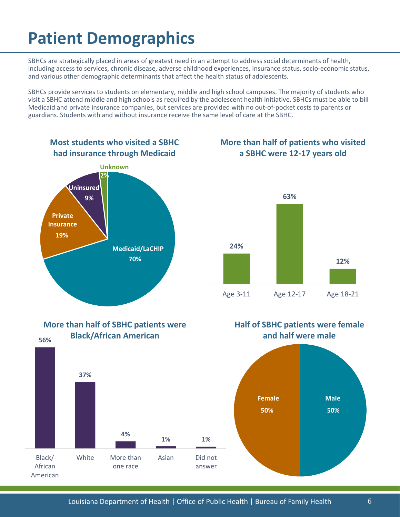### **Patient Demographics**

SBHCs are strategically placed in areas of greatest need in an attempt to address social determinants of health, including access to services, chronic disease, adverse childhood experiences, insurance status, socio-economic status, and various other demographic determinants that affect the health status of adolescents.

SBHCs provide services to students on elementary, middle and high school campuses. The majority of students who visit a SBHC attend middle and high schools as required by the adolescent health initiative. SBHCs must be able to bill Medicaid and private insurance companies, but services are provided with no out-of-pocket costs to parents or guardians. Students with and without insurance receive the same level of care at the SBHC.

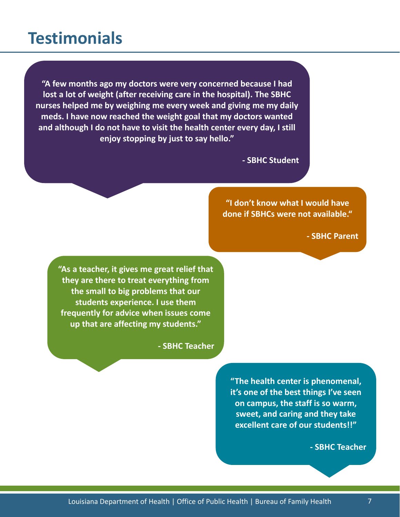### **Testimonials**

**"A few months ago my doctors were very concerned because I had lost a lot of weight (after receiving care in the hospital). The SBHC nurses helped me by weighing me every week and giving me my daily meds. I have now reached the weight goal that my doctors wanted and although I do not have to visit the health center every day, I still enjoy stopping by just to say hello."** 

**- SBHC Student**

**"I don't know what I would have done if SBHCs were not available."**

**- SBHC Parent**

**"As a teacher, it gives me great relief that they are there to treat everything from the small to big problems that our students experience. I use them frequently for advice when issues come up that are affecting my students."**

**- SBHC Teacher**

**"The health center is phenomenal, it's one of the best things I've seen on campus, the staff is so warm, sweet, and caring and they take excellent care of our students!!"**

**- SBHC Teacher**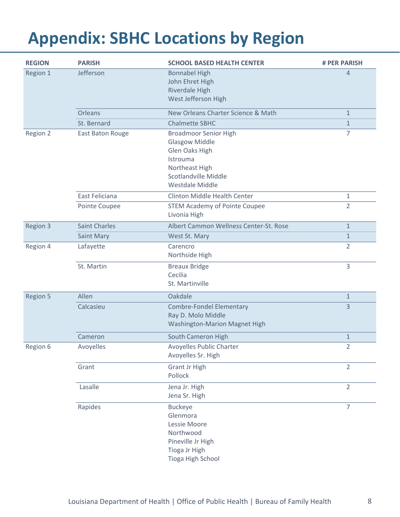### **Appendix: SBHC Locations by Region**

| <b>REGION</b> | <b>PARISH</b>        | <b>SCHOOL BASED HEALTH CENTER</b>                                                                                                                | # PER PARISH   |
|---------------|----------------------|--------------------------------------------------------------------------------------------------------------------------------------------------|----------------|
| Region 1      | Jefferson            | <b>Bonnabel High</b><br>John Ehret High<br>Riverdale High<br>West Jefferson High                                                                 | $\overline{4}$ |
|               | <b>Orleans</b>       | New Orleans Charter Science & Math                                                                                                               | $\mathbf{1}$   |
|               | St. Bernard          | <b>Chalmette SBHC</b>                                                                                                                            | $\mathbf{1}$   |
| Region 2      | East Baton Rouge     | <b>Broadmoor Senior High</b><br><b>Glasgow Middle</b><br>Glen Oaks High<br>Istrouma<br>Northeast High<br>Scotlandville Middle<br>Westdale Middle | $\overline{7}$ |
|               | East Feliciana       | <b>Clinton Middle Health Center</b>                                                                                                              | $\mathbf{1}$   |
|               | Pointe Coupee        | <b>STEM Academy of Pointe Coupee</b><br>Livonia High                                                                                             | $\overline{2}$ |
| Region 3      | <b>Saint Charles</b> | Albert Cammon Wellness Center-St. Rose                                                                                                           | $\mathbf{1}$   |
|               | Saint Mary           | West St. Mary                                                                                                                                    | $\mathbf{1}$   |
| Region 4      | Lafayette            | Carencro<br>Northside High                                                                                                                       | $\overline{2}$ |
|               | St. Martin           | <b>Breaux Bridge</b><br>Cecilia<br>St. Martinville                                                                                               | 3              |
| Region 5      | Allen                | Oakdale                                                                                                                                          | $\mathbf{1}$   |
|               | Calcasieu            | <b>Combre-Fondel Elementary</b><br>Ray D. Molo Middle<br><b>Washington-Marion Magnet High</b>                                                    | $\overline{3}$ |
|               | Cameron              | South Cameron High                                                                                                                               | $\mathbf{1}$   |
| Region 6      | Avoyelles            | <b>Avoyelles Public Charter</b><br>Avoyelles Sr. High                                                                                            | $\overline{2}$ |
|               | Grant                | <b>Grant Jr High</b><br>Pollock                                                                                                                  | $\overline{2}$ |
|               | Lasalle              | Jena Jr. High<br>Jena Sr. High                                                                                                                   | $\overline{2}$ |
|               | Rapides              | <b>Buckeye</b><br>Glenmora<br>Lessie Moore<br>Northwood<br>Pineville Jr High<br>Tioga Jr High<br>Tioga High School                               | $\overline{7}$ |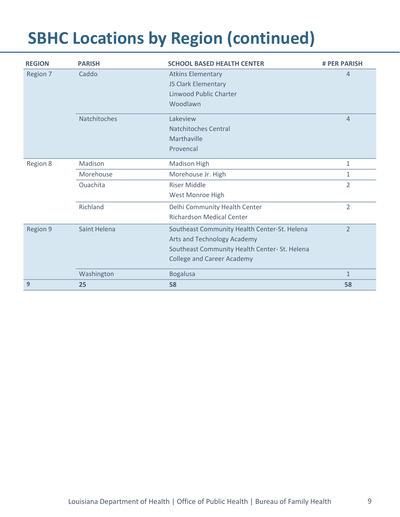### **SBHC Locations by Region (continued)**

| <b>REGION</b> | <b>PARISH</b> | <b>SCHOOL BASED HEALTH CENTER</b>             | <b># PER PARISH</b> |
|---------------|---------------|-----------------------------------------------|---------------------|
| Region 7      | Caddo         | <b>Atkins Elementary</b>                      | $\overline{4}$      |
|               |               | JS Clark Elementary                           |                     |
|               |               | <b>Linwood Public Charter</b>                 |                     |
|               |               | Woodlawn                                      |                     |
|               | Natchitoches  | Lakeview                                      | $\overline{4}$      |
|               |               | Natchitoches Central                          |                     |
|               |               | Marthaville                                   |                     |
|               |               | Provencal                                     |                     |
| Region 8      | Madison       | <b>Madison High</b>                           | $\mathbf{1}$        |
|               | Morehouse     | Morehouse Jr. High                            | $\mathbf{1}$        |
|               | Ouachita      | <b>Riser Middle</b>                           | $\overline{2}$      |
|               |               | West Monroe High                              |                     |
|               | Richland      | Delhi Community Health Center                 | $\overline{2}$      |
|               |               | <b>Richardson Medical Center</b>              |                     |
| Region 9      | Saint Helena  | Southeast Community Health Center-St. Helena  | $\overline{2}$      |
|               |               | Arts and Technology Academy                   |                     |
|               |               | Southeast Community Health Center- St. Helena |                     |
|               |               | <b>College and Career Academy</b>             |                     |
|               | Washington    | <b>Bogalusa</b>                               | $\mathbf{1}$        |
| 9             | 25            | 58                                            | 58                  |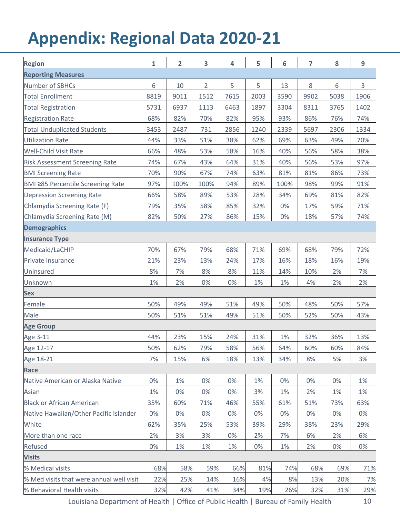### **Appendix: Regional Data 2020-21**

| <b>Region</b>                            | 1    | $\overline{2}$ | 3              | 4    | 5    | 6     | $\overline{7}$ | 8    | 9    |
|------------------------------------------|------|----------------|----------------|------|------|-------|----------------|------|------|
| <b>Reporting Measures</b>                |      |                |                |      |      |       |                |      |      |
| Number of SBHCs                          | 6    | 10             | $\overline{2}$ | 5    | 5    | 13    | $8\,$          | 6    | 3    |
| <b>Total Enrollment</b>                  | 8819 | 9011           | 1512           | 7615 | 2003 | 3590  | 9902           | 5038 | 1906 |
| <b>Total Registration</b>                | 5731 | 6937           | 1113           | 6463 | 1897 | 3304  | 8311           | 3765 | 1402 |
| <b>Registration Rate</b>                 | 68%  | 82%            | 70%            | 82%  | 95%  | 93%   | 86%            | 76%  | 74%  |
| <b>Total Unduplicated Students</b>       | 3453 | 2487           | 731            | 2856 | 1240 | 2339  | 5697           | 2306 | 1334 |
| Utilization Rate                         | 44%  | 33%            | 51%            | 38%  | 62%  | 69%   | 63%            | 49%  | 70%  |
| <b>Well-Child Visit Rate</b>             | 66%  | 48%            | 53%            | 58%  | 16%  | 40%   | 56%            | 58%  | 38%  |
| <b>Risk Assessment Screening Rate</b>    | 74%  | 67%            | 43%            | 64%  | 31%  | 40%   | 56%            | 53%  | 97%  |
| <b>BMI Screening Rate</b>                | 70%  | 90%            | 67%            | 74%  | 63%  | 81%   | 81%            | 86%  | 73%  |
| <b>BMI ≥85 Percentile Screening Rate</b> | 97%  | 100%           | 100%           | 94%  | 89%  | 100%  | 98%            | 99%  | 91%  |
| Depression Screening Rate                | 66%  | 58%            | 89%            | 53%  | 28%  | 34%   | 69%            | 81%  | 82%  |
| Chlamydia Screening Rate (F)             | 79%  | 35%            | 58%            | 85%  | 32%  | $0\%$ | 17%            | 59%  | 71%  |
| Chlamydia Screening Rate (M)             | 82%  | 50%            | 27%            | 86%  | 15%  | 0%    | 18%            | 57%  | 74%  |
| <b>Demographics</b>                      |      |                |                |      |      |       |                |      |      |
| <b>Insurance Type</b>                    |      |                |                |      |      |       |                |      |      |
| Medicaid/LaCHIP                          | 70%  | 67%            | 79%            | 68%  | 71%  | 69%   | 68%            | 79%  | 72%  |
| Private Insurance                        | 21%  | 23%            | 13%            | 24%  | 17%  | 16%   | 18%            | 16%  | 19%  |
| Uninsured                                | 8%   | 7%             | 8%             | 8%   | 11%  | 14%   | 10%            | 2%   | 7%   |
| Unknown                                  | 1%   | 2%             | 0%             | 0%   | 1%   | 1%    | 4%             | 2%   | 2%   |
| <b>Sex</b>                               |      |                |                |      |      |       |                |      |      |
| Female                                   | 50%  | 49%            | 49%            | 51%  | 49%  | 50%   | 48%            | 50%  | 57%  |
| Male                                     | 50%  | 51%            | 51%            | 49%  | 51%  | 50%   | 52%            | 50%  | 43%  |
| <b>Age Group</b>                         |      |                |                |      |      |       |                |      |      |
| Age 3-11                                 | 44%  | 23%            | 15%            | 24%  | 31%  | $1\%$ | 32%            | 36%  | 13%  |
| Age 12-17                                | 50%  | 62%            | 79%            | 58%  | 56%  | 64%   | 60%            | 60%  | 84%  |
| Age 18-21                                | 7%   | 15%            | 6%             | 18%  | 13%  | 34%   | 8%             | 5%   | 3%   |
| Race                                     |      |                |                |      |      |       |                |      |      |
| Native American or Alaska Native         | 0%   | 1%             | 0%             | 0%   | 1%   | 0%    | 0%             | 0%   | 1%   |
| Asian                                    | 1%   | 0%             | 0%             | 0%   | 3%   | 1%    | 2%             | 1%   | 1%   |
| <b>Black or African American</b>         | 35%  | 60%            | 71%            | 46%  | 55%  | 61%   | 51%            | 73%  | 63%  |
| Native Hawaiian/Other Pacific Islander   | 0%   | 0%             | 0%             | 0%   | 0%   | 0%    | 0%             | 0%   | 0%   |
| White                                    | 62%  | 35%            | 25%            | 53%  | 39%  | 29%   | 38%            | 23%  | 29%  |
| More than one race                       | 2%   | 3%             | 3%             | 0%   | 2%   | 7%    | 6%             | 2%   | 6%   |
| Refused                                  | 0%   | 1%             | 1%             | 1%   | 0%   | 1%    | 2%             | 0%   | 0%   |
| <b>Visits</b>                            |      |                |                |      |      |       |                |      |      |
| % Medical visits                         | 68%  | 58%            | 59%            | 66%  | 81%  | 74%   | 68%            | 69%  | 71%  |
| % Med visits that were annual well visit | 22%  | 25%            | 14%            | 16%  | 4%   | 8%    | 13%            | 20%  | 7%   |
| % Behavioral Health visits               | 32%  | 42%            | 41%            | 34%  | 19%  | 26%   | 32%            | 31%  | 29%  |

Louisiana Department of Health | Office of Public Health | Bureau of Family Health